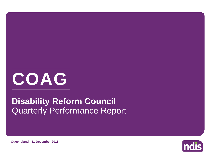

## Quarterly Performance Report **Disability Reform Council**



**Queensland - 31 December 2018**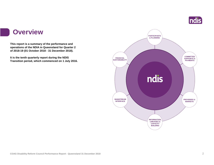

### **Overview**

**This report is a summary of the performance and operations of the NDIA in Queensland for Quarter 2 of 2018-19 (01 October 2018 - 31 December 2018).**

**It is the tenth quarterly report during the NDIS Transition period, which commenced on 1 July 2016.** 

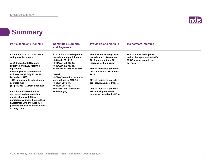

## **Summary**

**participants surveyed rating their satisfaction with the Agency's planning process as either 'Good'** 

**or 'Very Good'.**

| <b>Participants and Planning</b>                             | <b>Committed Supports</b><br>and Payments                                                   | <b>Providers and Markets</b>                                                        | <b>Mainstream Interface</b>                                                            |  |  |
|--------------------------------------------------------------|---------------------------------------------------------------------------------------------|-------------------------------------------------------------------------------------|----------------------------------------------------------------------------------------|--|--|
| An additional 8,144 participants<br>with plans this quarter. | \$1.1 billion has been paid to<br>providers and participants:<br>$\cdot$ \$0.3m in 2015-16, | There were 4,644 registered<br>providers at 31 December<br>2018, representing a 13% | 90% of active participants<br>with a plan approved in 2018-<br>19 Q2 access mainstream |  |  |
| At 31 December 2018, plans<br>approved and ECEI referrals    | $\cdot$ \$111.2m in 2016-17,<br>$\cdot$ \$494.3m in 2017-18.                                | increase for the quarter.                                                           | services.                                                                              |  |  |
| represent:<br>• 67% of year to date bilateral                | • \$444.4m in 2018-19 to date.                                                              | 40% of registered providers<br>were active at 31 December                           |                                                                                        |  |  |
| estimate met (1 July 2018 - 31<br>December 2018)             | Overall,<br>• 32% of committed supports                                                     | 2018.                                                                               |                                                                                        |  |  |
| • 60% of scheme to date bilateral                            | were utilised in 2015-16,                                                                   | 38% of registered providers                                                         |                                                                                        |  |  |
| estimate met<br>(1 April 2016 - 31 December 2018)            | • 56% in 2016-17,<br>$\cdot$ 63% in 2017-18.                                                | are individuals/sole traders.                                                       |                                                                                        |  |  |
|                                                              | The 2018-19 experience is                                                                   | 25% of registered providers                                                         |                                                                                        |  |  |
| <b>Participant satisfaction has</b>                          | still emerging.                                                                             | are receiving 80-90% of                                                             |                                                                                        |  |  |
| decreased in the quarter but<br>remains high, with 85% of    |                                                                                             | payments made by the NDIA.                                                          |                                                                                        |  |  |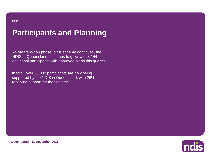## **Participants and Planning**

As the transition phase to full scheme continues, the NDIS in Queensland continues to grow with 8,144 additional participants with approved plans this quarter.

In total, over 35,000 participants are now being supported by the NDIS in Queensland, with 26% receiving support for the first time.



**Queensland - 31 December 2018**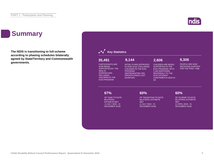## **Summary**

**The NDIS is transitioning to full-scheme according to phasing schedules bilaterally agreed by State/Territory and Commonwealth governments.**

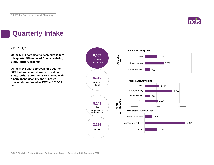

## **Quarterly Intake**

### **2018-19 Q2**

**Of the 6,110 participants deemed 'eligible' this quarter 53% entered from an existing State/Territory program.**

**Of the 8,144 plan approvals this quarter, 58% had transitioned from an existing State/Territory program, 85% entered with a permanent disability and 185 were previously confirmed as ECEI at 2018-19 Q1.**

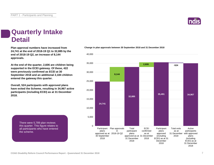![](_page_6_Picture_1.jpeg)

## **Quarterly Intake Detail**

**Plan approval numbers have increased from 24,741 at the end of 2018-19 Q1 to 32,885 by the end of 2018-19 Q2, an increase of 8,144 approvals.**

**At the end of the quarter, 2,606 are children being supported in the ECEI gateway. Of these, 422 were previously confirmed as ECEI at 30 September 2018 and an additional 2,184 children entered the gateway this quarter.**

**Overall, 524 participants with approved plans have exited the Scheme, resulting in 34,967 active participants (including ECEI) as at 31 December 2018.**

> There were 5,789 plan reviews this quarter. This figure relates to all participants who have entered the scheme.

![](_page_6_Figure_7.jpeg)

![](_page_6_Figure_8.jpeg)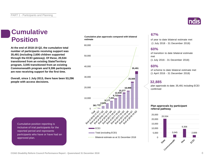# **Cumulative**

**At the end of 2018-19 Q2, the cumulative total number of participants receiving support was 35,491 (including 2,606 children supported through the ECEI gateway). Of these, 20,534 transitioned from an existing State/Territory program, 3,045 transitioned from an existing Commonwealth program and 9,306 participants are now receiving support for the first time.**

**Overall, since 1 July 2013, there have been 53,296 people with access decisions.**

**Cumulative plan approvals compared with bilateral estimate POSITION** cumulative plan approvais compared with bilateral of year to date bilateral estimate met

![](_page_7_Figure_5.jpeg)

Cumulative position reporting is inclusive of trial participants for the reported period and represents participants who have or have had an approved plan.

(1 July 2018 - 31 December 2018)

### **60%**

**67%**

of transition to date bilateral estimate met (1 July 2016 - 31 December 2018)

### **60%**

of scheme to date bilateral estimate met (1 April 2016 - 31 December 2018)

### **32,885**

plan approvals to date; 35,491 including ECEI confirmed

### **Plan approvals by participant referral pathway**

![](_page_7_Figure_16.jpeg)

![](_page_7_Picture_17.jpeg)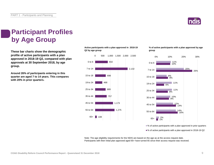![](_page_8_Picture_1.jpeg)

## **Participant Profiles by Age Group**

**These bar charts show the demographic profile of active participants with a plan approved in 2018-19 Q2, compared with plan approvals at 30 September 2018, by age group.**

**Around 26% of participants entering in this quarter are aged 7 to 14 years. This compares with 20% in prior quarters.**

**Active participants with a plan approved in 2018-19 Q2 by age group**

![](_page_8_Figure_6.jpeg)

**% of active participants with a plan approved by age group**

![](_page_8_Figure_8.jpeg)

■% of active participants with a plan approved in prior quarters

■% of active participants with a plan approved in 2018-19 Q2

Note: The age eligibility requirements for the NDIS are based on the age as at the access request date. Participants with their initial plan approved aged 65+ have turned 65 since their access request was received.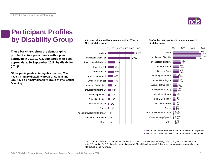![](_page_9_Picture_1.jpeg)

## **Participant Profiles by Disability Group**

**These bar charts show the demographic profile of active participants with a plan approved in 2018-19 Q2, compared with plan approvals at 30 September 2018, by disability group.**

**Of the participants entering this quarter, 28% have a primary disability group of Autism and 23% have a primary disability group of Intellectual Disability.**

**Active participants with a plan approved in 2018-19 Q2 by disability group**

![](_page_9_Figure_6.jpeg)

**% of active participants with a plan approved by disability group**

![](_page_9_Figure_8.jpeg)

■% of active participants with a plan approved in prior quarters ■% of active participants with a plan approved in 2018-19 Q2

Note 1: Of the 1,903 active participants identified as having an intellectual disability, 267 (14%), have down syndrome. Note 2: Since 2017-18 Q1 Developmental Delay and Global Developmental Delay have been reported separately to the Intellectual Disability group.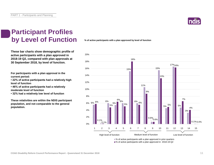![](_page_10_Picture_1.jpeg)

## **Participant Profiles by Level of Function**

**These bar charts show demographic profile of active participants with a plan approved in 2018-19 Q2, compared with plan approvals at 30 September 2018, by level of function.**

**For participants with a plan approval in the current period:** 

**• 22% of active participants had a relatively high level of function**

**• 46% of active participants had a relatively moderate level of function** 

**• 32% had a relatively low level of function**

**These relativities are within the NDIS participant population, and not comparable to the general population.**

**% of active participants with a plan approved by level of function**

![](_page_10_Figure_10.jpeg)

■% of active participants with a plan approved in 2018-19 Q2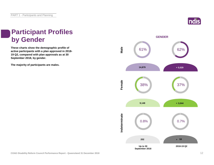![](_page_11_Picture_1.jpeg)

## **Participant Profiles by Gender**

**These charts show the demographic profile of active participants with a plan approved in 2018- 19 Q2, compared with plan approvals as at 30 September 2018, by gender.**

**The majority of participants are males.**

![](_page_11_Figure_5.jpeg)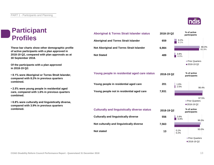## **Participant Profiles**

**These bar charts show other demographic profile of active participants with a plan approved in 2018-19 Q2, compared with plan approvals as at 30 September 2018.**

**Of the participants with a plan approved in 2018-19 Q2:**

**• 8.1% were Aboriginal or Torres Strait Islander, compared with 8.2% in previous quarters combined.**

**• 2.5% were young people in residential aged care, compared with 1.6% in previous quarters combined.**

**• 6.8% were culturally and linguistically diverse, compared with 3.9% in previous quarters combined.**

![](_page_12_Picture_7.jpeg)

![](_page_12_Figure_8.jpeg)

2018-19 Q2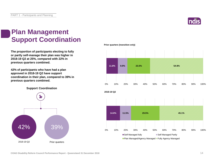![](_page_13_Picture_1.jpeg)

## **Plan Management Support Coordination**

**The proportion of participants electing to fully or partly self-manage their plan was higher in 2018-19 Q2 at 25%, compared with 22% in previous quarters combined.**

**42% of participants who have had a plan approved in 2018-19 Q2 have support coordination in their plan, compared to 39% in previous quarters combined.**

**Support Coordination**

![](_page_13_Figure_6.jpeg)

**Prior quarters (transition only)**

![](_page_13_Figure_8.jpeg)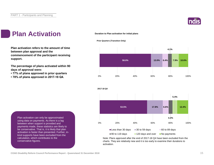![](_page_14_Picture_1.jpeg)

## **Plan Activation**

**Plan activation refers to the amount of time between plan approval and the commencement of the participant receiving support.**

**The percentage of plans activated within 90 days of approval were:** 

- **77% of plans approved in prior quarters**
- **78% of plans approved in 2017-18 Q4.**

### **Duration to Plan activation for initial plans**

### **Prior Quarters (Transition Only)**

![](_page_14_Figure_9.jpeg)

![](_page_14_Figure_10.jpeg)

Note: Plans approved after the end of 2017-18 Q4 have been excluded from the charts. They are relatively new and it is too early to examine their durations to activation.

Plan activation can only be approximated using data on payments. As there is a lag between when support is provided and payments made, these statistics are likely to be conservative. That is, it is likely that plan activation is faster than presented. Further, inkind supports have been excluded from the calculation, which contributes to the conservative figures.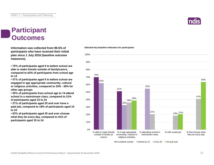### **Participant Outcomes**

**Information was collected from 99.5% of participants who have received their initial plan since 1 July 2016 (baseline outcome measures).**

**• 70% of participants aged 0 to before school are able to make friends outside of family/carers, compared to 62% of participants from school age to 14**

**• 51% of participants aged 0 to before school are engaged in age appropriate community, cultural or religious activities, compared to 33% - 39% for other age groups**

**• 55% of participants from school age to 14 attend school in a mainstream class, compared to 21% of participants aged 15 to 24**

**• 21% of participants aged 25 and over have a paid job, compared to 19% of participants aged 15 to 24**

**• 63% of participants aged 25 and over choose what they do every day, compared to 41% of participants aged 15 to 24**

![](_page_15_Figure_9.jpeg)

 $\Box$  0 to before school  $\Box$  School to 14  $\Box$  15 to 24  $\Box$  25 and over

### **Selected key baseline indicators for participants**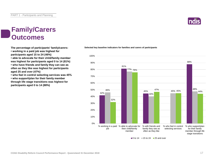### **Family/Carers Outcomes**

**• working in a paid job was highest for participants aged 15 to 24 (46%)**

**• able to advocate for their child/family member was highest for participants aged 0 to 14 (81%) • who have friends and family they can see as often as they like was highest for participants aged 25 and over (47%)**

**• who feel in control selecting services was 45% • who support/plan for their family member through life stage transitions was highest for participants aged 0 to 14 (88%)**

![](_page_16_Figure_6.jpeg)

**The percentage of participants' family/carers: Selected key baseline indicators for families and carers of participants**

 $\blacksquare$ 0 to 14  $\blacksquare$  15 to 24  $\blacksquare$  25 and over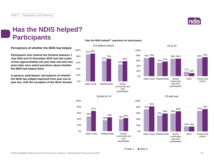![](_page_17_Picture_1.jpeg)

74%

control

17% 12%

Work Choice and

## **Has the NDIS helped? Participants**

**Perceptions of whether the NDIS has helped.**

**Participants who entered the Scheme between 1 July 2016 and 31 December 2016 and had a plan review approximately one year later and also two years later were asked questions about whether the NDIS had helped them.**

**In general, participants' perceptions of whether the NDIS has helped improved from year one to year two, with the exception of the Work domain.**

![](_page_17_Figure_6.jpeg)

![](_page_17_Figure_7.jpeg)

![](_page_17_Figure_8.jpeg)

### 25 and over

68% 73% 69% 68%

15 to 24

community and civic participation

70% 73%

0% 20% 40% 60% 80%

52% 57%

Daily Living Relationships Social,

![](_page_17_Figure_10.jpeg)

### ■ Year 1 ■ Year 2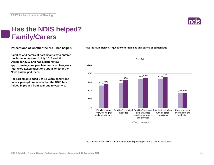![](_page_18_Picture_1.jpeg)

## **Has the NDIS helped? Family/Carers**

**Perceptions of whether the NDIS has helped.**

**Families and carers of participants who entered the Scheme between 1 July 2016 and 31 December 2016 and had a plan review approximately one year later and also two years later were asked questions about whether the NDIS had helped them.**

**For participants aged 0 to 14 years, family and carers' perceptions of whether the NDIS has helped improved from year one to year two.**

**"Has the NDIS helped?" questions for families and carers of participants**

![](_page_18_Figure_7.jpeg)

Note: There was insufficient data to report for participants aged 15 and over for this quarter.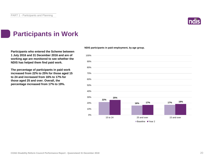![](_page_19_Picture_1.jpeg)

## **Participants in Work**

**Participants who entered the Scheme between 1 July 2016 and 31 December 2016 and are of working age are monitored to see whether the NDIS has helped them find paid work.**

**The percentage of participants in paid work increased from 22% to 25% for those aged 15 to 24 and increased from 16% to 17% for those aged 25 and over. Overall, the percentage increased from 17% to 19%.**

**NDIS participants in paid employment, by age group.**

![](_page_19_Figure_6.jpeg)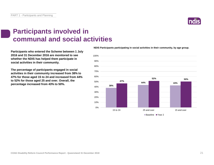### **Participants involved in communal and social activities**

**Participants who entered the Scheme between 1 July 2016 and 31 December 2016 are monitored to see whether the NDIS has helped them participate in social activities in their community.**

**The percentage of participants engaged in social activities in their community increased from 38% to 47% for those aged 15 to 24 and increased from 44% to 52% for those aged 25 and over. Overall, the percentage increased from 43% to 50%.**

### **NDIS Participants participating in social activities in their community, by age group.**

![](_page_20_Figure_6.jpeg)

![](_page_20_Picture_7.jpeg)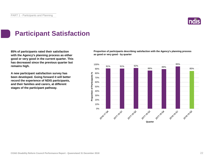![](_page_21_Picture_1.jpeg)

## **Participant Satisfaction**

**85% of participants rated their satisfaction with the Agency's planning process as either good or very good in the current quarter. This has decreased since the previous quarter but remains high.** 

**A new participant satisfaction survey has been developed. Going forward it will better record the experience of NDIS participants, and their families and carers, at different stages of the participant pathway.**

**Proportion of participants describing satisfaction with the Agency's planning process as good or very good - by quarter**

![](_page_21_Figure_6.jpeg)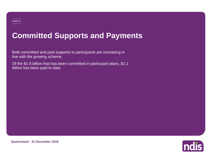## **Committed Supports and Payments**

Both committed and paid supports to participants are increasing in line with the growing scheme.

Of the \$1.9 billion that has been committed in participant plans, \$1.1 billion has been paid to date.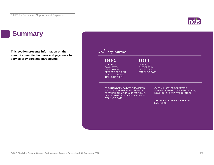![](_page_23_Picture_1.jpeg)

## **Summary**

**This section presents information on the amount committed in plans and payments to service providers and participants.**

![](_page_23_Figure_4.jpeg)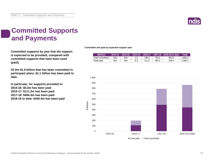![](_page_24_Picture_1.jpeg)

## **Committed Supports and Payments**

**Committed supports by year that the support is expected to be provided, compared with committed supports that have been used (paid).**

**Of the \$1.9 billion that has been committed in participant plans, \$1.1 billion has been paid to date.**

**In particular, for supports provided in: 2015-16: \$0.3m has been paid 2016-17: \$111.2m has been paid 2017-18: \$494.3m has been paid 2018-19 to date: \$444.4m has been paid** **Committed and paid by expected support year**

| <b>SMillion</b> | $2013 - 14$ |     | 2014-15 2015-16 2016-17 |       | 2017-18 2018-19 to date | Total   |
|-----------------|-------------|-----|-------------------------|-------|-------------------------|---------|
| Total committed | N/A         | N/A | 198.2                   | 790.0 | 863.8                   | 1.853.0 |
| Total paid      | N/A         | N/A | 111.2                   | 494.3 | 444.4                   | 1.050.2 |

![](_page_24_Figure_8.jpeg)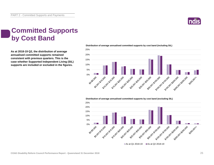![](_page_25_Picture_1.jpeg)

## **Committed Supports by Cost Band**

**As at 2018-19 Q2, the distribution of average annualised committed supports remained consistent with previous quarters. This is the case whether Supported Independent Living (SIL) supports are included or excluded in the figures.**

![](_page_25_Figure_4.jpeg)

### **Distribution of average annualised committed supports by cost band (including SIL)**

**Distribution of average annualised committed supports by cost band (excluding SIL)** 

![](_page_25_Figure_7.jpeg)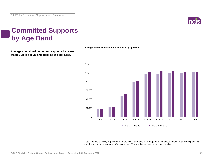![](_page_26_Picture_1.jpeg)

## **Committed Supports by Age Band**

**Average annualised committed supports increase steeply up to age 25 and stabilise at older ages.**

![](_page_26_Figure_4.jpeg)

![](_page_26_Figure_5.jpeg)

Note: The age eligibility requirements for the NDIS are based on the age as at the access request date. Participants with their initial plan approved aged 65+ have turned 65 since their access request was received.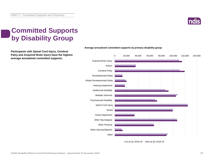![](_page_27_Picture_1.jpeg)

## **Committed Supports by Disability Group**

**Participants with Spinal Cord Injury, Cerebral Palsy and Acquired Brain Injury have the highest average annualised committed supports.**

![](_page_27_Figure_4.jpeg)

### **Average annualised committed supports by primary disability group**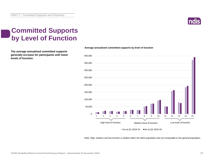![](_page_28_Picture_1.jpeg)

## **Committed Supports by Level of Function**

**The average annualised committed supports generally increase for participants with lower levels of function.**

![](_page_28_Figure_4.jpeg)

Note: High, medium and low function is relative within the NDIS population and not comparable to the general population.

## **Average annualised committed supports by level of function**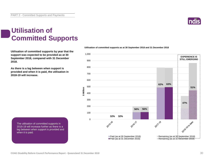![](_page_29_Picture_1.jpeg)

## **Utilisation of Committed Supports**

**Utilisation of committed supports by year that the support was expected to be provided as at 30 September 2018, compared with 31 December 2018.** 

**As there is a lag between when support is provided and when it is paid, the utilisation in 2018-19 will increase.**

![](_page_29_Figure_5.jpeg)

### **Utilisation of committed supports as at 30 September 2018 and 31 December 2018**

![](_page_29_Figure_7.jpeg)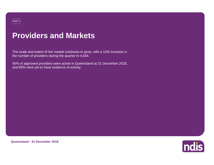## **Providers and Markets**

The scale and extent of the market continues to grow, with a 13% increase in the number of providers during the quarter to 4,644.

40% of approved providers were active in Queensland at 31 December 2018, and 60% were yet to have evidence of activity.

![](_page_30_Picture_3.jpeg)

**Queensland - 31 December 2018**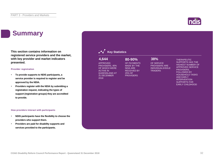## **Summary**

**This section contains information on registered service providers and the market, with key provider and market indicators presented.**

### **Provider registration**

- **To provide supports to NDIS participants, a service provider is required to register and be approved by the NDIA.**
- **Providers register with the NDIA by submitting a registration request, indicating the types of support (registration groups) they are accredited to provide.**

### **How providers interact with participants**

- **NDIS participants have the flexibility to choose the providers who support them.**
- **Providers are paid for disability supports and services provided to the participants.**

### **Key Statistics** OF SERVICE PROVIDERS ARE INDIVIDUALS/SOLE TRADERS THERAPEUTIC SUPPORTS HAS THE HIGHEST NUMBER OF APPROVED SERVICE PROVIDERS, FOLLOWED BY HOUSEHOLD TASKS AND EARLY INTERVENTION SUPPORTS FOR EARLY CHILDHOOD APPROVED PROVIDERS, 40% OF WHICH WERE ACTIVE IN QUEENSLAND AT 31 DECEMBER 2018 OF PAYMENTS MADE BY THE NDIA ARE RECEIVED BY 25% OF **PROVIDERS 4,644 80-90% 38%**

![](_page_31_Picture_10.jpeg)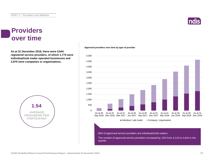### **Providers over time**

**As at 31 December 2018, there were 4,644 registered service providers, of which 1,774 were individual/sole trader operated businesses and 2,870 were companies or organisations.**

![](_page_32_Figure_4.jpeg)

### **Approved providers over time by type of provider**

![](_page_32_Figure_6.jpeg)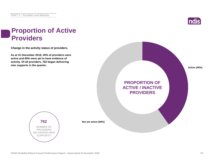![](_page_33_Picture_1.jpeg)

## **Proportion of Active Providers**

**Change in the activity status of providers.**

**As at 31 December 2018, 40% of providers were active and 60% were yet to have evidence of activity. Of all providers, 762 began delivering new supports in the quarter.**

![](_page_33_Picture_5.jpeg)

**762** NUMBER OF PROVIDERS DELIVERING NEW SUPPORTS

**Not yet active (60%)**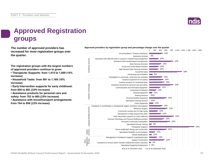![](_page_34_Picture_1.jpeg)

## **Approved Registration groups**

**The number of approved providers has** *Approved providers by registration group and percentage change over the quarter***<br>
<b>Approved providers** by registration group and percentage change over the quarter **increased for most registration groups over the quarter.**

**The registration groups with the largest numbers of approved providers continue to grow:**

**• Therapeutic Supports: from 1,415 to 1,609 (14% increase)**

**• Household Tasks: from 991 to 1,169 (18% increase)**

**• Early Intervention supports for early childhood: from 800 to 881 (10% increase)**

**• Assistance products for personal care and safety: from 752 to 865 (15% increase)**

**• Assistance with travel/transport arrangements: from 764 to 856 (12% increase)**

![](_page_34_Figure_10.jpeg)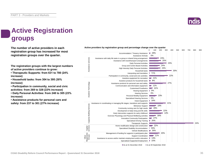![](_page_35_Picture_1.jpeg)

0 100 200 300 400 500 600 700 800 900

## **Active Registration groups**

**The number of active providers in each registration group has increased for most registration groups over the quarter.**

**The registration groups with the largest numbers of active providers continue to grow:**

**• Therapeutic Supports: from 631 to 780 (24% increase)**

**• Household tasks: from 304 to 395 (30% increase)**

**• Participation in community, social and civic activities: from 269 to 328 (22% increase)**

**• Daily Personal Activities: from 248 to 305 (23% increase)**

**• Assistance products for personal care and safety: from 237 to 301 (27% increase)**

![](_page_35_Figure_10.jpeg)

**Active providers by registration group and percentage change over the quarter**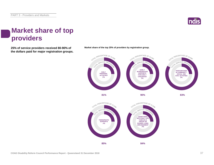![](_page_36_Picture_1.jpeg)

## **Market share of top providers**

**25% of service providers received 80-90% of Market share of the top 25% of providers by registration group. the dollars paid for major registration groups.**

![](_page_36_Figure_4.jpeg)

![](_page_36_Figure_6.jpeg)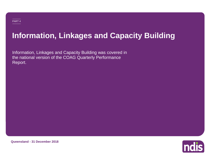## **Information, Linkages and Capacity Building**

Information, Linkages and Capacity Building was covered in the national version of the COAG Quarterly Performance Report.

![](_page_37_Picture_3.jpeg)

**Queensland - 31 December 2018**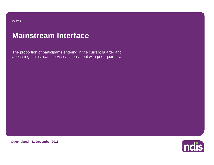## **Mainstream Interface**

The proportion of participants entering in the current quarter and accessing mainstream services is consistent with prior quarters.

![](_page_38_Picture_2.jpeg)

**Queensland - 31 December 2018**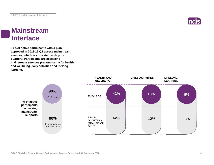![](_page_39_Picture_1.jpeg)

## **Mainstream Interface**

**90% of active participants with a plan approved in 2018-19 Q2 access mainstream services, which is consistent with prior quarters. Participants are accessing mainstream services predominantly for health and wellbeing, daily activities and lifelong learning.**

![](_page_39_Figure_4.jpeg)